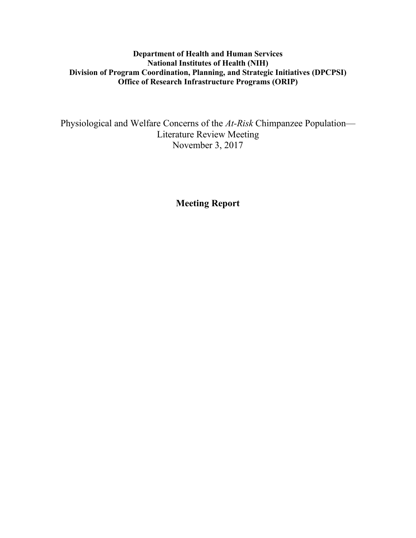# **Department of Health and Human Services National Institutes of Health (NIH) Division of Program Coordination, Planning, and Strategic Initiatives (DPCPSI) Office of Research Infrastructure Programs (ORIP)**

Physiological and Welfare Concerns of the *At-Risk* Chimpanzee Population— Literature Review Meeting November 3, 2017

**Meeting Report**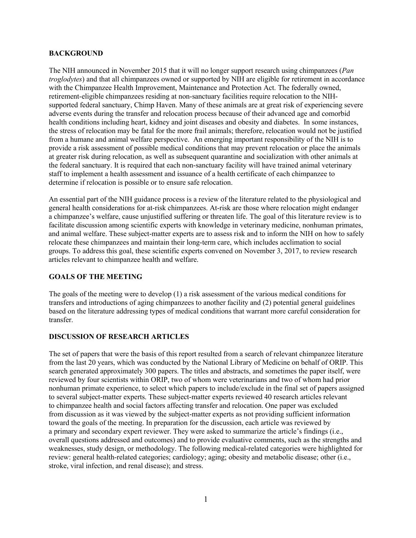#### **BACKGROUND**

The NIH announced in November 2015 that it will no longer support research using chimpanzees (*Pan troglodytes*) and that all chimpanzees owned or supported by NIH are eligible for retirement in accordance with the Chimpanzee Health Improvement, Maintenance and Protection Act. The federally owned, retirement-eligible chimpanzees residing at non-sanctuary facilities require relocation to the NIHsupported federal sanctuary, Chimp Haven. Many of these animals are at great risk of experiencing severe adverse events during the transfer and relocation process because of their advanced age and comorbid health conditions including heart, kidney and joint diseases and obesity and diabetes. In some instances, the stress of relocation may be fatal for the more frail animals; therefore, relocation would not be justified from a humane and animal welfare perspective. An emerging important responsibility of the NIH is to provide a risk assessment of possible medical conditions that may prevent relocation or place the animals at greater risk during relocation, as well as subsequent quarantine and socialization with other animals at the federal sanctuary. It is required that each non-sanctuary facility will have trained animal veterinary staff to implement a health assessment and issuance of a health certificate of each chimpanzee to determine if relocation is possible or to ensure safe relocation.

An essential part of the NIH guidance process is a review of the literature related to the physiological and general health considerations for at-risk chimpanzees. At-risk are those where relocation might endanger a chimpanzee's welfare, cause unjustified suffering or threaten life. The goal of this literature review is to facilitate discussion among scientific experts with knowledge in veterinary medicine, nonhuman primates, and animal welfare. These subject-matter experts are to assess risk and to inform the NIH on how to safely relocate these chimpanzees and maintain their long-term care, which includes acclimation to social groups. To address this goal, these scientific experts convened on November 3, 2017, to review research articles relevant to chimpanzee health and welfare.

# **GOALS OF THE MEETING**

The goals of the meeting were to develop (1) a risk assessment of the various medical conditions for transfers and introductions of aging chimpanzees to another facility and (2) potential general guidelines based on the literature addressing types of medical conditions that warrant more careful consideration for transfer.

### **DISCUSSION OF RESEARCH ARTICLES**

The set of papers that were the basis of this report resulted from a search of relevant chimpanzee literature from the last 20 years, which was conducted by the National Library of Medicine on behalf of ORIP. This search generated approximately 300 papers. The titles and abstracts, and sometimes the paper itself, were reviewed by four scientists within ORIP, two of whom were veterinarians and two of whom had prior nonhuman primate experience, to select which papers to include/exclude in the final set of papers assigned to several subject-matter experts. These subject-matter experts reviewed 40 research articles relevant to chimpanzee health and social factors affecting transfer and relocation. One paper was excluded from discussion as it was viewed by the subject-matter experts as not providing sufficient information toward the goals of the meeting. In preparation for the discussion, each article was reviewed by a primary and secondary expert reviewer. They were asked to summarize the article's findings (i.e., overall questions addressed and outcomes) and to provide evaluative comments, such as the strengths and weaknesses, study design, or methodology. The following medical-related categories were highlighted for review: general health-related categories; cardiology; aging; obesity and metabolic disease; other (i.e., stroke, viral infection, and renal disease); and stress.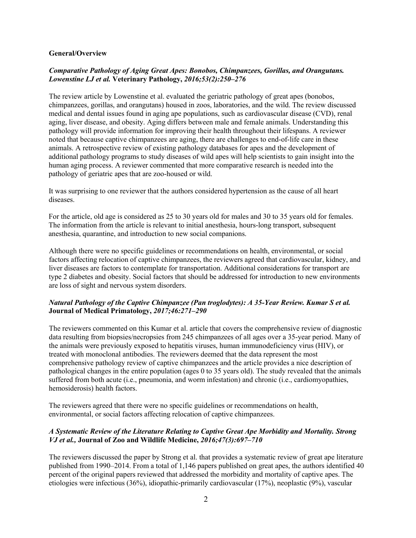#### **General/Overview**

### *Comparative Pathology of Aging Great Apes: Bonobos, Chimpanzees, Gorillas, and Orangutans. Lowenstine LJ et al.* **Veterinary Pathology,** *2016;53(2):250–276*

The review article by Lowenstine et al. evaluated the geriatric pathology of great apes (bonobos, chimpanzees, gorillas, and orangutans) housed in zoos, laboratories, and the wild. The review discussed medical and dental issues found in aging ape populations, such as cardiovascular disease (CVD), renal aging, liver disease, and obesity. Aging differs between male and female animals. Understanding this pathology will provide information for improving their health throughout their lifespans. A reviewer noted that because captive chimpanzees are aging, there are challenges to end-of-life care in these animals. A retrospective review of existing pathology databases for apes and the development of additional pathology programs to study diseases of wild apes will help scientists to gain insight into the human aging process. A reviewer commented that more comparative research is needed into the pathology of geriatric apes that are zoo-housed or wild.

It was surprising to one reviewer that the authors considered hypertension as the cause of all heart diseases.

For the article, old age is considered as 25 to 30 years old for males and 30 to 35 years old for females. The information from the article is relevant to initial anesthesia, hours-long transport, subsequent anesthesia, quarantine, and introduction to new social companions.

Although there were no specific guidelines or recommendations on health, environmental, or social factors affecting relocation of captive chimpanzees, the reviewers agreed that cardiovascular, kidney, and liver diseases are factors to contemplate for transportation. Additional considerations for transport are type 2 diabetes and obesity. Social factors that should be addressed for introduction to new environments are loss of sight and nervous system disorders.

### *Natural Pathology of the Captive Chimpanzee (Pan troglodytes): A 35-Year Review. Kumar S et al.* **Journal of Medical Primatology,** *2017;46:271–290*

The reviewers commented on this Kumar et al. article that covers the comprehensive review of diagnostic data resulting from biopsies/necropsies from 245 chimpanzees of all ages over a 35-year period. Many of the animals were previously exposed to hepatitis viruses, human immunodeficiency virus (HIV), or treated with monoclonal antibodies. The reviewers deemed that the data represent the most comprehensive pathology review of captive chimpanzees and the article provides a nice description of pathological changes in the entire population (ages 0 to 35 years old). The study revealed that the animals suffered from both acute (i.e., pneumonia, and worm infestation) and chronic (i.e., cardiomyopathies, hemosiderosis) health factors.

The reviewers agreed that there were no specific guidelines or recommendations on health, environmental, or social factors affecting relocation of captive chimpanzees.

## *A Systematic Review of the Literature Relating to Captive Great Ape Morbidity and Mortality. Strong VJ et al.,* **Journal of Zoo and Wildlife Medicine,** *2016;47(3):697–710*

The reviewers discussed the paper by Strong et al. that provides a systematic review of great ape literature published from 1990–2014. From a total of 1,146 papers published on great apes, the authors identified 40 percent of the original papers reviewed that addressed the morbidity and mortality of captive apes. The etiologies were infectious (36%), idiopathic-primarily cardiovascular (17%), neoplastic (9%), vascular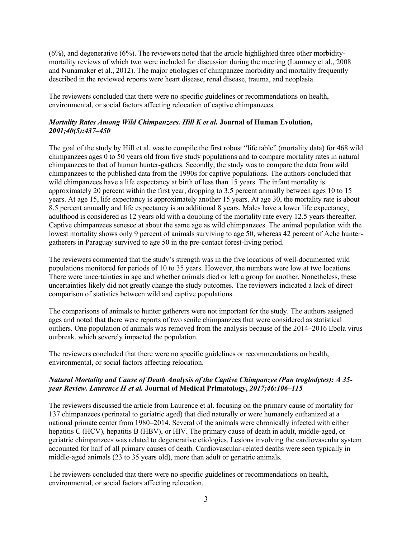(6%), and degenerative (6%). The reviewers noted that the article highlighted three other morbiditymortality reviews of which two were included for discussion during the meeting (Lammey et al., 2008 and Nunamaker et al., 2012). The major etiologies of chimpanzee morbidity and mortality frequently described in the reviewed reports were heart disease, renal disease, trauma, and neoplasia.

The reviewers concluded that there were no specific guidelines or recommendations on health, environmental, or social factors affecting relocation of captive chimpanzees.

## *Mortality Rates Among Wild Chimpanzees. Hill K et al.* **Journal of Human Evolution,** *2001;40(5):437–450*

The goal of the study by Hill et al. was to compile the first robust "life table" (mortality data) for 468 wild chimpanzees ages 0 to 50 years old from five study populations and to compare mortality rates in natural chimpanzees to that of human hunter-gathers. Secondly, the study was to compare the data from wild chimpanzees to the published data from the 1990s for captive populations. The authors concluded that wild chimpanzees have a life expectancy at birth of less than 15 years. The infant mortality is approximately 20 percent within the first year, dropping to 3.5 percent annually between ages 10 to 15 years. At age 15, life expectancy is approximately another 15 years. At age 30, the mortality rate is about 8.5 percent annually and life expectancy is an additional 8 years. Males have a lower life expectancy; adulthood is considered as 12 years old with a doubling of the mortality rate every 12.5 years thereafter. Captive chimpanzees senesce at about the same age as wild chimpanzees. The animal population with the lowest mortality shows only 9 percent of animals surviving to age 50, whereas 42 percent of Ache huntergatherers in Paraguay survived to age 50 in the pre-contact forest-living period.

The reviewers commented that the study's strength was in the five locations of well-documented wild populations monitored for periods of 10 to 35 years. However, the numbers were low at two locations. There were uncertainties in age and whether animals died or left a group for another. Nonetheless, these uncertainties likely did not greatly change the study outcomes. The reviewers indicated a lack of direct comparison of statistics between wild and captive populations.

The comparisons of animals to hunter gatherers were not important for the study. The authors assigned ages and noted that there were reports of two senile chimpanzees that were considered as statistical outliers. One population of animals was removed from the analysis because of the 2014–2016 Ebola virus outbreak, which severely impacted the population.

The reviewers concluded that there were no specific guidelines or recommendations on health, environmental, or social factors affecting relocation.

## *Natural Mortality and Cause of Death Analysis of the Captive Chimpanzee (Pan troglodytes): A 35 year Review. Laurence H et al.* **Journal of Medical Primatology,** *2017;46:106–115*

The reviewers discussed the article from Laurence et al. focusing on the primary cause of mortality for 137 chimpanzees (perinatal to geriatric aged) that died naturally or were humanely euthanized at a national primate center from 1980–2014. Several of the animals were chronically infected with either hepatitis C (HCV), hepatitis B (HBV), or HIV. The primary cause of death in adult, middle-aged, or geriatric chimpanzees was related to degenerative etiologies. Lesions involving the cardiovascular system accounted for half of all primary causes of death. Cardiovascular-related deaths were seen typically in middle-aged animals (23 to 35 years old), more than adult or geriatric animals.

The reviewers concluded that there were no specific guidelines or recommendations on health, environmental, or social factors affecting relocation.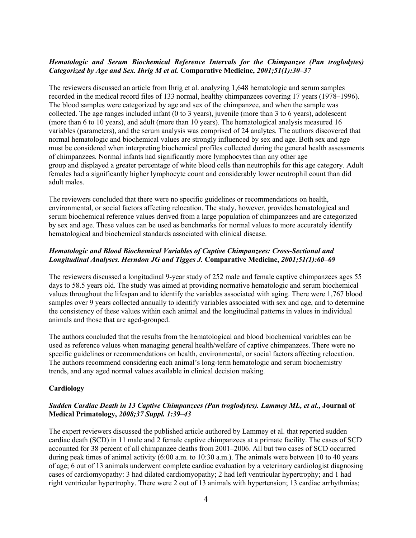## *Hematologic and Serum Biochemical Reference Intervals for the Chimpanzee (Pan troglodytes) Categorized by Age and Sex. Ihrig M et al.* **Comparative Medicine,** *2001;51(1):30–37*

The reviewers discussed an article from Ihrig et al. analyzing 1,648 hematologic and serum samples recorded in the medical record files of 133 normal, healthy chimpanzees covering 17 years (1978–1996). The blood samples were categorized by age and sex of the chimpanzee, and when the sample was collected. The age ranges included infant (0 to 3 years), juvenile (more than 3 to 6 years), adolescent (more than 6 to 10 years), and adult (more than 10 years). The hematological analysis measured 16 variables (parameters), and the serum analysis was comprised of 24 analytes. The authors discovered that normal hematologic and biochemical values are strongly influenced by sex and age. Both sex and age must be considered when interpreting biochemical profiles collected during the general health assessments of chimpanzees. Normal infants had significantly more lymphocytes than any other age group and displayed a greater percentage of white blood cells than neutrophils for this age category. Adult females had a significantly higher lymphocyte count and considerably lower neutrophil count than did adult males.

The reviewers concluded that there were no specific guidelines or recommendations on health, environmental, or social factors affecting relocation. The study, however, provides hematological and serum biochemical reference values derived from a large population of chimpanzees and are categorized by sex and age. These values can be used as benchmarks for normal values to more accurately identify hematological and biochemical standards associated with clinical disease.

## *Hematologic and Blood Biochemical Variables of Captive Chimpanzees: Cross-Sectional and Longitudinal Analyses. Herndon JG and Tigges J.* **Comparative Medicine,** *2001;51(1):60–69*

The reviewers discussed a longitudinal 9-year study of 252 male and female captive chimpanzees ages 55 days to 58.5 years old. The study was aimed at providing normative hematologic and serum biochemical values throughout the lifespan and to identify the variables associated with aging. There were 1,767 blood samples over 9 years collected annually to identify variables associated with sex and age, and to determine the consistency of these values within each animal and the longitudinal patterns in values in individual animals and those that are aged-grouped.

The authors concluded that the results from the hematological and blood biochemical variables can be used as reference values when managing general health/welfare of captive chimpanzees. There were no specific guidelines or recommendations on health, environmental, or social factors affecting relocation. The authors recommend considering each animal's long-term hematologic and serum biochemistry trends, and any aged normal values available in clinical decision making.

### **Cardiology**

## *Sudden Cardiac Death in 13 Captive Chimpanzees (Pan troglodytes). Lammey ML, et al.,* **Journal of Medical Primatology,** *2008;37 Suppl. 1:39–43*

The expert reviewers discussed the published article authored by Lammey et al. that reported sudden cardiac death (SCD) in 11 male and 2 female captive chimpanzees at a primate facility. The cases of SCD accounted for 38 percent of all chimpanzee deaths from 2001–2006. All but two cases of SCD occurred during peak times of animal activity (6:00 a.m. to 10:30 a.m.). The animals were between 10 to 40 years of age; 6 out of 13 animals underwent complete cardiac evaluation by a veterinary cardiologist diagnosing cases of cardiomyopathy: 3 had dilated cardiomyopathy; 2 had left ventricular hypertrophy; and 1 had right ventricular hypertrophy. There were 2 out of 13 animals with hypertension; 13 cardiac arrhythmias;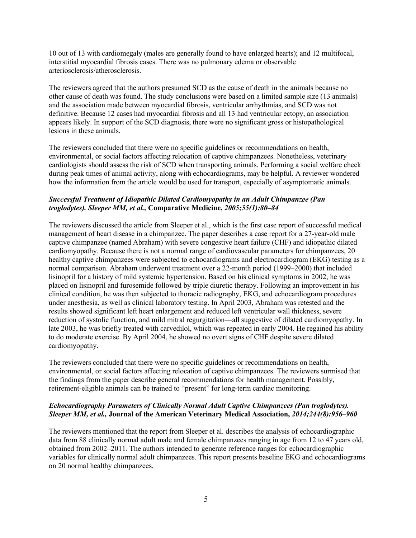10 out of 13 with cardiomegaly (males are generally found to have enlarged hearts); and 12 multifocal, interstitial myocardial fibrosis cases. There was no pulmonary edema or observable arteriosclerosis/atherosclerosis.

The reviewers agreed that the authors presumed SCD as the cause of death in the animals because no other cause of death was found. The study conclusions were based on a limited sample size (13 animals) and the association made between myocardial fibrosis, ventricular arrhythmias, and SCD was not definitive. Because 12 cases had myocardial fibrosis and all 13 had ventricular ectopy, an association appears likely. In support of the SCD diagnosis, there were no significant gross or histopathological lesions in these animals.

The reviewers concluded that there were no specific guidelines or recommendations on health, environmental, or social factors affecting relocation of captive chimpanzees. Nonetheless, veterinary cardiologists should assess the risk of SCD when transporting animals. Performing a social welfare check during peak times of animal activity, along with echocardiograms, may be helpful. A reviewer wondered how the information from the article would be used for transport, especially of asymptomatic animals.

## *Successful Treatment of Idiopathic Dilated Cardiomyopathy in an Adult Chimpanzee (Pan troglodytes). Sleeper MM, et al.,* **Comparative Medicine,** *2005;55(1):80–84*

The reviewers discussed the article from Sleeper et al., which is the first case report of successful medical management of heart disease in a chimpanzee. The paper describes a case report for a 27-year-old male captive chimpanzee (named Abraham) with severe congestive heart failure (CHF) and idiopathic dilated cardiomyopathy. Because there is not a normal range of cardiovascular parameters for chimpanzees, 20 healthy captive chimpanzees were subjected to echocardiograms and electrocardiogram (EKG) testing as a normal comparison. Abraham underwent treatment over a 22-month period (1999–2000) that included lisinopril for a history of mild systemic hypertension. Based on his clinical symptoms in 2002, he was placed on lisinopril and furosemide followed by triple diuretic therapy. Following an improvement in his clinical condition, he was then subjected to thoracic radiography, EKG, and echocardiogram procedures under anesthesia, as well as clinical laboratory testing. In April 2003, Abraham was retested and the results showed significant left heart enlargement and reduced left ventricular wall thickness, severe reduction of systolic function, and mild mitral regurgitation—all suggestive of dilated cardiomyopathy. In late 2003, he was briefly treated with carvedilol, which was repeated in early 2004. He regained his ability to do moderate exercise. By April 2004, he showed no overt signs of CHF despite severe dilated cardiomyopathy.

The reviewers concluded that there were no specific guidelines or recommendations on health, environmental, or social factors affecting relocation of captive chimpanzees. The reviewers surmised that the findings from the paper describe general recommendations for health management. Possibly, retirement-eligible animals can be trained to "present" for long-term cardiac monitoring.

# *Echocardiography Parameters of Clinically Normal Adult Captive Chimpanzees (Pan troglodytes). Sleeper MM, et al.,* **Journal of the American Veterinary Medical Association,** *2014;244(8):956–960*

The reviewers mentioned that the report from Sleeper et al. describes the analysis of echocardiographic data from 88 clinically normal adult male and female chimpanzees ranging in age from 12 to 47 years old, obtained from 2002–2011. The authors intended to generate reference ranges for echocardiographic variables for clinically normal adult chimpanzees. This report presents baseline EKG and echocardiograms on 20 normal healthy chimpanzees.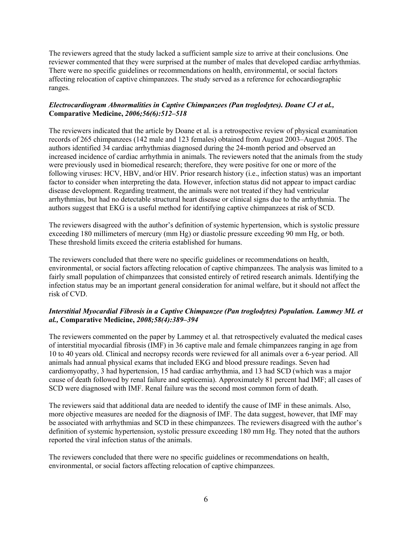The reviewers agreed that the study lacked a sufficient sample size to arrive at their conclusions. One reviewer commented that they were surprised at the number of males that developed cardiac arrhythmias. There were no specific guidelines or recommendations on health, environmental, or social factors affecting relocation of captive chimpanzees. The study served as a reference for echocardiographic ranges.

## *Electrocardiogram Abnormalities in Captive Chimpanzees (Pan troglodytes). Doane CJ et al.,* **Comparative Medicine,** *2006;56(6):512–518*

The reviewers indicated that the article by Doane et al. is a retrospective review of physical examination records of 265 chimpanzees (142 male and 123 females) obtained from August 2003–August 2005. The authors identified 34 cardiac arrhythmias diagnosed during the 24-month period and observed an increased incidence of cardiac arrhythmia in animals. The reviewers noted that the animals from the study were previously used in biomedical research; therefore, they were positive for one or more of the following viruses: HCV, HBV, and/or HIV. Prior research history (i.e., infection status) was an important factor to consider when interpreting the data. However, infection status did not appear to impact cardiac disease development. Regarding treatment, the animals were not treated if they had ventricular arrhythmias, but had no detectable structural heart disease or clinical signs due to the arrhythmia. The authors suggest that EKG is a useful method for identifying captive chimpanzees at risk of SCD.

The reviewers disagreed with the author's definition of systemic hypertension, which is systolic pressure exceeding 180 millimeters of mercury (mm Hg) or diastolic pressure exceeding 90 mm Hg, or both. These threshold limits exceed the criteria established for humans.

The reviewers concluded that there were no specific guidelines or recommendations on health, environmental, or social factors affecting relocation of captive chimpanzees. The analysis was limited to a fairly small population of chimpanzees that consisted entirely of retired research animals. Identifying the infection status may be an important general consideration for animal welfare, but it should not affect the risk of CVD.

## *Interstitial Myocardial Fibrosis in a Captive Chimpanzee (Pan troglodytes) Population. Lammey ML et al.,* **Comparative Medicine,** *2008;58(4):389–394*

The reviewers commented on the paper by Lammey et al. that retrospectively evaluated the medical cases of interstitial myocardial fibrosis (IMF) in 36 captive male and female chimpanzees ranging in age from 10 to 40 years old. Clinical and necropsy records were reviewed for all animals over a 6-year period. All animals had annual physical exams that included EKG and blood pressure readings. Seven had cardiomyopathy, 3 had hypertension, 15 had cardiac arrhythmia, and 13 had SCD (which was a major cause of death followed by renal failure and septicemia). Approximately 81 percent had IMF; all cases of SCD were diagnosed with IMF. Renal failure was the second most common form of death.

The reviewers said that additional data are needed to identify the cause of IMF in these animals. Also, more objective measures are needed for the diagnosis of IMF. The data suggest, however, that IMF may be associated with arrhythmias and SCD in these chimpanzees. The reviewers disagreed with the author's definition of systemic hypertension, systolic pressure exceeding 180 mm Hg. They noted that the authors reported the viral infection status of the animals.

The reviewers concluded that there were no specific guidelines or recommendations on health, environmental, or social factors affecting relocation of captive chimpanzees.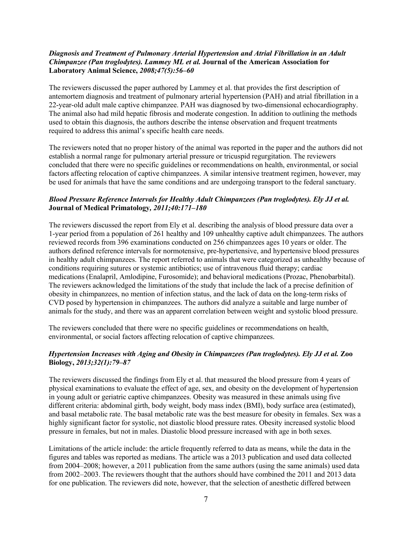### *Diagnosis and Treatment of Pulmonary Arterial Hypertension and Atrial Fibrillation in an Adult Chimpanzee (Pan troglodytes). Lammey ML et al.* **Journal of the American Association for Laboratory Animal Science,** *2008;47(5):56–60*

The reviewers discussed the paper authored by Lammey et al. that provides the first description of antemortem diagnosis and treatment of pulmonary arterial hypertension (PAH) and atrial fibrillation in a 22-year-old adult male captive chimpanzee. PAH was diagnosed by two-dimensional echocardiography. The animal also had mild hepatic fibrosis and moderate congestion. In addition to outlining the methods used to obtain this diagnosis, the authors describe the intense observation and frequent treatments required to address this animal's specific health care needs.

The reviewers noted that no proper history of the animal was reported in the paper and the authors did not establish a normal range for pulmonary arterial pressure or tricuspid regurgitation. The reviewers concluded that there were no specific guidelines or recommendations on health, environmental, or social factors affecting relocation of captive chimpanzees. A similar intensive treatment regimen, however, may be used for animals that have the same conditions and are undergoing transport to the federal sanctuary.

## *Blood Pressure Reference Intervals for Healthy Adult Chimpanzees (Pan troglodytes). Ely JJ et al.* **Journal of Medical Primatology***, 2011;40:171–180*

The reviewers discussed the report from Ely et al. describing the analysis of blood pressure data over a 1-year period from a population of 261 healthy and 109 unhealthy captive adult chimpanzees. The authors reviewed records from 396 examinations conducted on 256 chimpanzees ages 10 years or older. The authors defined reference intervals for normotensive, pre-hypertensive, and hypertensive blood pressures in healthy adult chimpanzees. The report referred to animals that were categorized as unhealthy because of conditions requiring sutures or systemic antibiotics; use of intravenous fluid therapy; cardiac medications (Enalapril, Amlodipine, Furosomide); and behavioral medications (Prozac, Phenobarbital). The reviewers acknowledged the limitations of the study that include the lack of a precise definition of obesity in chimpanzees, no mention of infection status, and the lack of data on the long-term risks of CVD posed by hypertension in chimpanzees. The authors did analyze a suitable and large number of animals for the study, and there was an apparent correlation between weight and systolic blood pressure.

The reviewers concluded that there were no specific guidelines or recommendations on health, environmental, or social factors affecting relocation of captive chimpanzees.

### *Hypertension Increases with Aging and Obesity in Chimpanzees (Pan troglodytes). Ely JJ et al.* **Zoo Biology,** *2013;32(1):79–87*

The reviewers discussed the findings from Ely et al. that measured the blood pressure from 4 years of physical examinations to evaluate the effect of age, sex, and obesity on the development of hypertension in young adult or geriatric captive chimpanzees. Obesity was measured in these animals using five different criteria: abdominal girth, body weight, body mass index (BMI), body surface area (estimated), and basal metabolic rate. The basal metabolic rate was the best measure for obesity in females. Sex was a highly significant factor for systolic, not diastolic blood pressure rates. Obesity increased systolic blood pressure in females, but not in males. Diastolic blood pressure increased with age in both sexes.

Limitations of the article include: the article frequently referred to data as means, while the data in the figures and tables was reported as medians. The article was a 2013 publication and used data collected from 2004–2008; however, a 2011 publication from the same authors (using the same animals) used data from 2002–2003. The reviewers thought that the authors should have combined the 2011 and 2013 data for one publication. The reviewers did note, however, that the selection of anesthetic differed between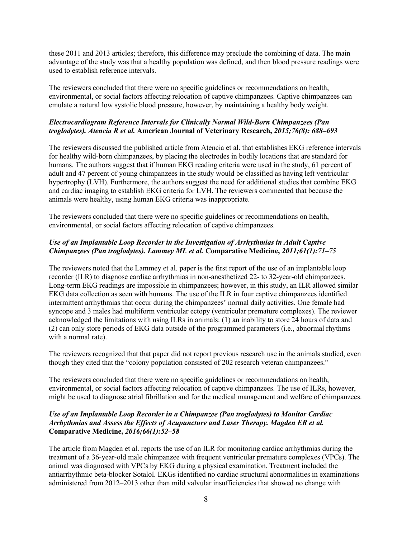these 2011 and 2013 articles; therefore, this difference may preclude the combining of data. The main advantage of the study was that a healthy population was defined, and then blood pressure readings were used to establish reference intervals.

The reviewers concluded that there were no specific guidelines or recommendations on health, environmental, or social factors affecting relocation of captive chimpanzees. Captive chimpanzees can emulate a natural low systolic blood pressure, however, by maintaining a healthy body weight.

## *Electrocardiogram Reference Intervals for Clinically Normal Wild-Born Chimpanzees (Pan troglodytes). Atencia R et al.* **American Journal of Veterinary Research,** *2015;76(8): 688–693*

The reviewers discussed the published article from Atencia et al. that establishes EKG reference intervals for healthy wild-born chimpanzees, by placing the electrodes in bodily locations that are standard for humans. The authors suggest that if human EKG reading criteria were used in the study, 61 percent of adult and 47 percent of young chimpanzees in the study would be classified as having left ventricular hypertrophy (LVH). Furthermore, the authors suggest the need for additional studies that combine EKG and cardiac imaging to establish EKG criteria for LVH. The reviewers commented that because the animals were healthy, using human EKG criteria was inappropriate.

The reviewers concluded that there were no specific guidelines or recommendations on health, environmental, or social factors affecting relocation of captive chimpanzees.

## *Use of an Implantable Loop Recorder in the Investigation of Arrhythmias in Adult Captive Chimpanzees (Pan troglodytes). Lammey ML et al.* **Comparative Medicine,** *2011;61(1):71–75*

The reviewers noted that the Lammey et al. paper is the first report of the use of an implantable loop recorder (ILR) to diagnose cardiac arrhythmias in non-anesthetized 22- to 32-year-old chimpanzees. Long-term EKG readings are impossible in chimpanzees; however, in this study, an ILR allowed similar EKG data collection as seen with humans. The use of the ILR in four captive chimpanzees identified intermittent arrhythmias that occur during the chimpanzees' normal daily activities. One female had syncope and 3 males had multiform ventricular ectopy (ventricular premature complexes). The reviewer acknowledged the limitations with using ILRs in animals: (1) an inability to store 24 hours of data and (2) can only store periods of EKG data outside of the programmed parameters (i.e., abnormal rhythms with a normal rate).

The reviewers recognized that that paper did not report previous research use in the animals studied, even though they cited that the "colony population consisted of 202 research veteran chimpanzees."

The reviewers concluded that there were no specific guidelines or recommendations on health, environmental, or social factors affecting relocation of captive chimpanzees. The use of ILRs, however, might be used to diagnose atrial fibrillation and for the medical management and welfare of chimpanzees.

### *Use of an Implantable Loop Recorder in a Chimpanzee (Pan troglodytes) to Monitor Cardiac Arrhythmias and Assess the Effects of Acupuncture and Laser Therapy. Magden ER et al.* **Comparative Medicine,** *2016;66(1):52–58*

The article from Magden et al. reports the use of an ILR for monitoring cardiac arrhythmias during the treatment of a 36-year-old male chimpanzee with frequent ventricular premature complexes (VPCs). The animal was diagnosed with VPCs by EKG during a physical examination. Treatment included the antiarrhythmic beta-blocker Sotalol. EKGs identified no cardiac structural abnormalities in examinations administered from 2012–2013 other than mild valvular insufficiencies that showed no change with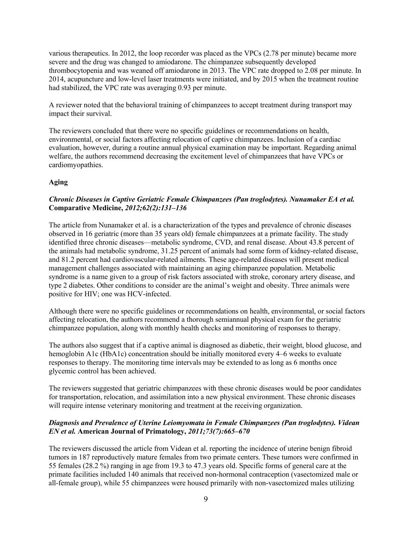various therapeutics. In 2012, the loop recorder was placed as the VPCs (2.78 per minute) became more severe and the drug was changed to amiodarone. The chimpanzee subsequently developed thrombocytopenia and was weaned off amiodarone in 2013. The VPC rate dropped to 2.08 per minute. In 2014, acupuncture and low-level laser treatments were initiated, and by 2015 when the treatment routine had stabilized, the VPC rate was averaging 0.93 per minute.

A reviewer noted that the behavioral training of chimpanzees to accept treatment during transport may impact their survival.

The reviewers concluded that there were no specific guidelines or recommendations on health, environmental, or social factors affecting relocation of captive chimpanzees. Inclusion of a cardiac evaluation, however, during a routine annual physical examination may be important. Regarding animal welfare, the authors recommend decreasing the excitement level of chimpanzees that have VPCs or cardiomyopathies.

### **Aging**

## *Chronic Diseases in Captive Geriatric Female Chimpanzees (Pan troglodytes). Nunamaker EA et al.* **Comparative Medicine,** *2012;62(2):131–136*

The article from Nunamaker et al. is a characterization of the types and prevalence of chronic diseases observed in 16 geriatric (more than 35 years old) female chimpanzees at a primate facility. The study identified three chronic diseases—metabolic syndrome, CVD, and renal disease. About 43.8 percent of the animals had metabolic syndrome, 31.25 percent of animals had some form of kidney-related disease, and 81.2 percent had cardiovascular-related ailments. These age-related diseases will present medical management challenges associated with maintaining an aging chimpanzee population. Metabolic syndrome is a name given to a group of risk factors associated with stroke, coronary artery disease, and type 2 diabetes. Other conditions to consider are the animal's weight and obesity. Three animals were positive for HIV; one was HCV-infected.

Although there were no specific guidelines or recommendations on health, environmental, or social factors affecting relocation, the authors recommend a thorough semiannual physical exam for the geriatric chimpanzee population, along with monthly health checks and monitoring of responses to therapy.

The authors also suggest that if a captive animal is diagnosed as diabetic, their weight, blood glucose, and hemoglobin A1c (HbA1c) concentration should be initially monitored every 4–6 weeks to evaluate responses to therapy. The monitoring time intervals may be extended to as long as 6 months once glycemic control has been achieved.

The reviewers suggested that geriatric chimpanzees with these chronic diseases would be poor candidates for transportation, relocation, and assimilation into a new physical environment. These chronic diseases will require intense veterinary monitoring and treatment at the receiving organization.

## *Diagnosis and Prevalence of Uterine Leiomyomata in Female Chimpanzees (Pan troglodytes). Videan EN et al.* **American Journal of Primatology,** *2011;73(7):665–670*

The reviewers discussed the article from Videan et al. reporting the incidence of uterine benign fibroid tumors in 187 reproductively mature females from two primate centers. These tumors were confirmed in 55 females (28.2 %) ranging in age from 19.3 to 47.3 years old. Specific forms of general care at the primate facilities included 140 animals that received non-hormonal contraception (vasectomized male or all-female group), while 55 chimpanzees were housed primarily with non-vasectomized males utilizing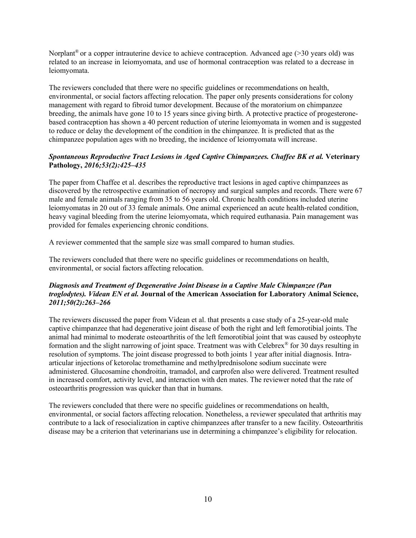Norplant<sup>®</sup> or a copper intrauterine device to achieve contraception. Advanced age ( $>$ 30 years old) was related to an increase in leiomyomata, and use of hormonal contraception was related to a decrease in leiomyomata.

The reviewers concluded that there were no specific guidelines or recommendations on health, environmental, or social factors affecting relocation. The paper only presents considerations for colony management with regard to fibroid tumor development. Because of the moratorium on chimpanzee breeding, the animals have gone 10 to 15 years since giving birth. A protective practice of progesteronebased contraception has shown a 40 percent reduction of uterine leiomyomata in women and is suggested to reduce or delay the development of the condition in the chimpanzee. It is predicted that as the chimpanzee population ages with no breeding, the incidence of leiomyomata will increase.

## *Spontaneous Reproductive Tract Lesions in Aged Captive Chimpanzees. Chaffee BK et al.* **Veterinary Pathology,** *2016;53(2):425–435*

The paper from Chaffee et al. describes the reproductive tract lesions in aged captive chimpanzees as discovered by the retrospective examination of necropsy and surgical samples and records. There were 67 male and female animals ranging from 35 to 56 years old. Chronic health conditions included uterine leiomyomatas in 20 out of 33 female animals. One animal experienced an acute health-related condition, heavy vaginal bleeding from the uterine leiomyomata, which required euthanasia. Pain management was provided for females experiencing chronic conditions.

A reviewer commented that the sample size was small compared to human studies.

The reviewers concluded that there were no specific guidelines or recommendations on health, environmental, or social factors affecting relocation.

## *Diagnosis and Treatment of Degenerative Joint Disease in a Captive Male Chimpanzee (Pan troglodytes). Videan EN et al.* **Journal of the American Association for Laboratory Animal Science,** *2011;50(2):263–266*

The reviewers discussed the paper from Videan et al. that presents a case study of a 25-year-old male captive chimpanzee that had degenerative joint disease of both the right and left femorotibial joints. The animal had minimal to moderate osteoarthritis of the left femorotibial joint that was caused by osteophyte formation and the slight narrowing of joint space. Treatment was with Celebrex® for 30 days resulting in resolution of symptoms. The joint disease progressed to both joints 1 year after initial diagnosis. Intraarticular injections of ketorolac tromethamine and methylprednisolone sodium succinate were administered. Glucosamine chondroitin, tramadol, and carprofen also were delivered. Treatment resulted in increased comfort, activity level, and interaction with den mates. The reviewer noted that the rate of osteoarthritis progression was quicker than that in humans.

The reviewers concluded that there were no specific guidelines or recommendations on health, environmental, or social factors affecting relocation. Nonetheless, a reviewer speculated that arthritis may contribute to a lack of resocialization in captive chimpanzees after transfer to a new facility. Osteoarthritis disease may be a criterion that veterinarians use in determining a chimpanzee's eligibility for relocation.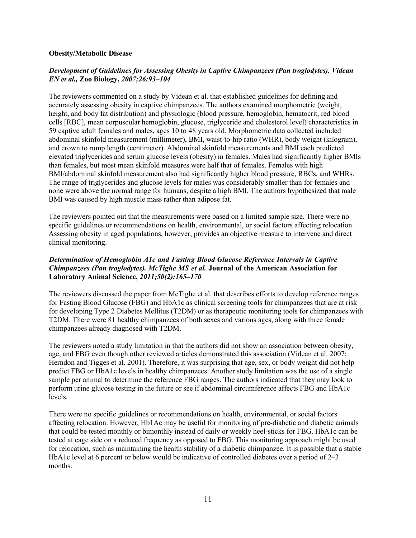#### **Obesity/Metabolic Disease**

## *Development of Guidelines for Assessing Obesity in Captive Chimpanzees (Pan troglodytes). Videan EN et al.,* **Zoo Biology,** *2007;26:93–104*

The reviewers commented on a study by Videan et al. that established guidelines for defining and accurately assessing obesity in captive chimpanzees. The authors examined morphometric (weight, height, and body fat distribution) and physiologic (blood pressure, hemoglobin, hematocrit, red blood cells [RBC], mean corpuscular hemoglobin, glucose, triglyceride and cholesterol level) characteristics in 59 captive adult females and males, ages 10 to 48 years old. Morphometric data collected included abdominal skinfold measurement (millimeter), BMI, waist-to-hip ratio (WHR), body weight (kilogram), and crown to rump length (centimeter). Abdominal skinfold measurements and BMI each predicted elevated triglycerides and serum glucose levels (obesity) in females. Males had significantly higher BMIs than females, but most mean skinfold measures were half that of females. Females with high BMI/abdominal skinfold measurement also had significantly higher blood pressure, RBCs, and WHRs. The range of triglycerides and glucose levels for males was considerably smaller than for females and none were above the normal range for humans, despite a high BMI. The authors hypothesized that male BMI was caused by high muscle mass rather than adipose fat.

The reviewers pointed out that the measurements were based on a limited sample size. There were no specific guidelines or recommendations on health, environmental, or social factors affecting relocation. Assessing obesity in aged populations, however, provides an objective measure to intervene and direct clinical monitoring.

## *Determination of Hemoglobin A1c and Fasting Blood Glucose Reference Intervals in Captive Chimpanzees (Pan troglodytes). McTighe MS et al.* **Journal of the American Association for Laboratory Animal Science,** *2011;50(2):165–170*

The reviewers discussed the paper from McTighe et al. that describes efforts to develop reference ranges for Fasting Blood Glucose (FBG) and HbA1c as clinical screening tools for chimpanzees that are at risk for developing Type 2 Diabetes Mellitus (T2DM) or as therapeutic monitoring tools for chimpanzees with T2DM. There were 81 healthy chimpanzees of both sexes and various ages, along with three female chimpanzees already diagnosed with T2DM.

The reviewers noted a study limitation in that the authors did not show an association between obesity, age, and FBG even though other reviewed articles demonstrated this association (Videan et al. 2007; Herndon and Tigges et al. 2001). Therefore, it was surprising that age, sex, or body weight did not help predict FBG or HbA1c levels in healthy chimpanzees. Another study limitation was the use of a single sample per animal to determine the reference FBG ranges. The authors indicated that they may look to perform urine glucose testing in the future or see if abdominal circumference affects FBG and HbA1c levels.

There were no specific guidelines or recommendations on health, environmental, or social factors affecting relocation. However, Hb1Ac may be useful for monitoring of pre-diabetic and diabetic animals that could be tested monthly or bimonthly instead of daily or weekly heel-sticks for FBG. HbA1c can be tested at cage side on a reduced frequency as opposed to FBG. This monitoring approach might be used for relocation, such as maintaining the health stability of a diabetic chimpanzee. It is possible that a stable HbA1c level at 6 percent or below would be indicative of controlled diabetes over a period of 2–3 months.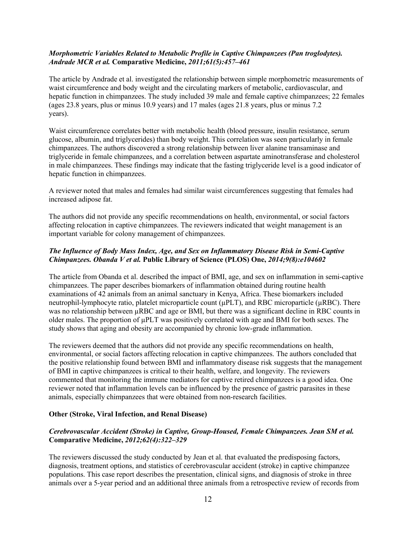### *Morphometric Variables Related to Metabolic Profile in Captive Chimpanzees (Pan troglodytes). Andrade MCR et al.* **Comparative Medicine,** *2011;61(5):457–461*

The article by Andrade et al. investigated the relationship between simple morphometric measurements of waist circumference and body weight and the circulating markers of metabolic, cardiovascular, and hepatic function in chimpanzees. The study included 39 male and female captive chimpanzees; 22 females (ages 23.8 years, plus or minus 10.9 years) and 17 males (ages 21.8 years, plus or minus 7.2 years).

Waist circumference correlates better with metabolic health (blood pressure, insulin resistance, serum glucose, albumin, and triglycerides) than body weight. This correlation was seen particularly in female chimpanzees. The authors discovered a strong relationship between liver alanine transaminase and triglyceride in female chimpanzees, and a correlation between aspartate aminotransferase and cholesterol in male chimpanzees. These findings may indicate that the fasting triglyceride level is a good indicator of hepatic function in chimpanzees.

A reviewer noted that males and females had similar waist circumferences suggesting that females had increased adipose fat.

The authors did not provide any specific recommendations on health, environmental, or social factors affecting relocation in captive chimpanzees. The reviewers indicated that weight management is an important variable for colony management of chimpanzees.

## *The Influence of Body Mass Index, Age, and Sex on Inflammatory Disease Risk in Semi-Captive Chimpanzees. Obanda V et al.* **Public Library of Science (PLOS) One,** *2014;9(8):e104602*

The article from Obanda et al. described the impact of BMI, age, and sex on inflammation in semi-captive chimpanzees. The paper describes biomarkers of inflammation obtained during routine health examinations of 42 animals from an animal sanctuary in Kenya, Africa. These biomarkers included neutrophil-lymphocyte ratio, platelet microparticle count ( $\mu$ PLT), and RBC microparticle ( $\mu$ RBC). There was no relationship between  $\mu$ RBC and age or BMI, but there was a significant decline in RBC counts in older males. The proportion of µPLT was positively correlated with age and BMI for both sexes. The study shows that aging and obesity are accompanied by chronic low-grade inflammation.

The reviewers deemed that the authors did not provide any specific recommendations on health, environmental, or social factors affecting relocation in captive chimpanzees. The authors concluded that the positive relationship found between BMI and inflammatory disease risk suggests that the management of BMI in captive chimpanzees is critical to their health, welfare, and longevity. The reviewers commented that monitoring the immune mediators for captive retired chimpanzees is a good idea. One reviewer noted that inflammation levels can be influenced by the presence of gastric parasites in these animals, especially chimpanzees that were obtained from non-research facilities.

### **Other (Stroke, Viral Infection, and Renal Disease)**

## *Cerebrovascular Accident (Stroke) in Captive, Group-Housed, Female Chimpanzees. Jean SM et al.* **Comparative Medicine,** *2012;62(4):322–329*

The reviewers discussed the study conducted by Jean et al. that evaluated the predisposing factors, diagnosis, treatment options, and statistics of cerebrovascular accident (stroke) in captive chimpanzee populations. This case report describes the presentation, clinical signs, and diagnosis of stroke in three animals over a 5-year period and an additional three animals from a retrospective review of records from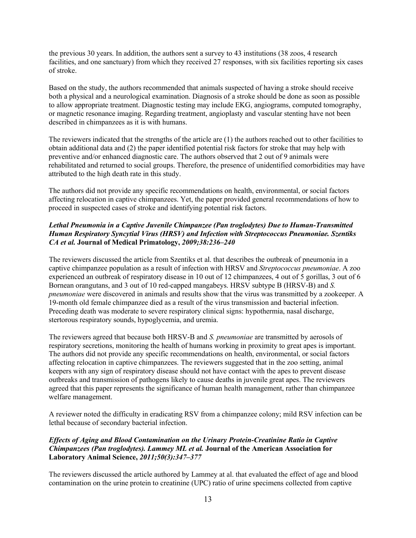the previous 30 years. In addition, the authors sent a survey to 43 institutions (38 zoos, 4 research facilities, and one sanctuary) from which they received 27 responses, with six facilities reporting six cases of stroke.

Based on the study, the authors recommended that animals suspected of having a stroke should receive both a physical and a neurological examination. Diagnosis of a stroke should be done as soon as possible to allow appropriate treatment. Diagnostic testing may include EKG, angiograms, computed tomography, or magnetic resonance imaging. Regarding treatment, angioplasty and vascular stenting have not been described in chimpanzees as it is with humans.

The reviewers indicated that the strengths of the article are (1) the authors reached out to other facilities to obtain additional data and (2) the paper identified potential risk factors for stroke that may help with preventive and/or enhanced diagnostic care. The authors observed that 2 out of 9 animals were rehabilitated and returned to social groups. Therefore, the presence of unidentified comorbidities may have attributed to the high death rate in this study.

The authors did not provide any specific recommendations on health, environmental, or social factors affecting relocation in captive chimpanzees. Yet, the paper provided general recommendations of how to proceed in suspected cases of stroke and identifying potential risk factors.

# *Lethal Pneumonia in a Captive Juvenile Chimpanzee (Pan troglodytes) Due to Human-Transmitted Human Respiratory Syncytial Virus (HRSV) and Infection with Streptococcus Pneumoniae. Szentiks CA et al.* **Journal of Medical Primatology,** *2009;38:236–240*

The reviewers discussed the article from Szentiks et al. that describes the outbreak of pneumonia in a captive chimpanzee population as a result of infection with HRSV and *Streptococcus pneumoniae*. A zoo experienced an outbreak of respiratory disease in 10 out of 12 chimpanzees, 4 out of 5 gorillas, 3 out of 6 Bornean orangutans, and 3 out of 10 red-capped mangabeys. HRSV subtype B (HRSV-B) and *S. pneumoniae* were discovered in animals and results show that the virus was transmitted by a zookeeper. A 19-month old female chimpanzee died as a result of the virus transmission and bacterial infection. Preceding death was moderate to severe respiratory clinical signs: hypothermia, nasal discharge, stertorous respiratory sounds, hypoglycemia, and uremia.

The reviewers agreed that because both HRSV-B and *S. pneumoniae* are transmitted by aerosols of respiratory secretions, monitoring the health of humans working in proximity to great apes is important. The authors did not provide any specific recommendations on health, environmental, or social factors affecting relocation in captive chimpanzees. The reviewers suggested that in the zoo setting, animal keepers with any sign of respiratory disease should not have contact with the apes to prevent disease outbreaks and transmission of pathogens likely to cause deaths in juvenile great apes. The reviewers agreed that this paper represents the significance of human health management, rather than chimpanzee welfare management.

A reviewer noted the difficulty in eradicating RSV from a chimpanzee colony; mild RSV infection can be lethal because of secondary bacterial infection.

## *Effects of Aging and Blood Contamination on the Urinary Protein-Creatinine Ratio in Captive Chimpanzees (Pan troglodytes). Lammey ML et al.* **Journal of the American Association for Laboratory Animal Science,** *2011;50(3):347–377*

The reviewers discussed the article authored by Lammey at al. that evaluated the effect of age and blood contamination on the urine protein to creatinine (UPC) ratio of urine specimens collected from captive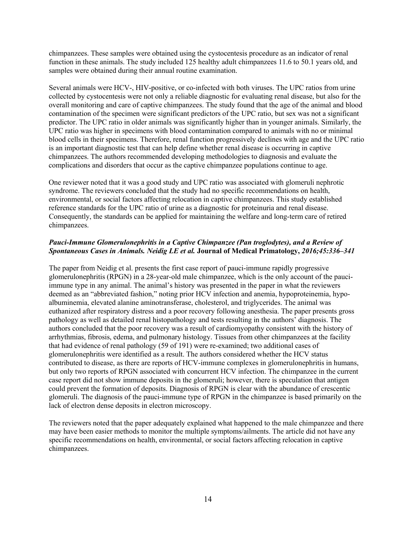chimpanzees. These samples were obtained using the cystocentesis procedure as an indicator of renal function in these animals. The study included 125 healthy adult chimpanzees 11.6 to 50.1 years old, and samples were obtained during their annual routine examination.

Several animals were HCV-, HIV-positive, or co-infected with both viruses. The UPC ratios from urine collected by cystocentesis were not only a reliable diagnostic for evaluating renal disease, but also for the overall monitoring and care of captive chimpanzees. The study found that the age of the animal and blood contamination of the specimen were significant predictors of the UPC ratio, but sex was not a significant predictor. The UPC ratio in older animals was significantly higher than in younger animals. Similarly, the UPC ratio was higher in specimens with blood contamination compared to animals with no or minimal blood cells in their specimens. Therefore, renal function progressively declines with age and the UPC ratio is an important diagnostic test that can help define whether renal disease is occurring in captive chimpanzees. The authors recommended developing methodologies to diagnosis and evaluate the complications and disorders that occur as the captive chimpanzee populations continue to age.

One reviewer noted that it was a good study and UPC ratio was associated with glomeruli nephrotic syndrome. The reviewers concluded that the study had no specific recommendations on health, environmental, or social factors affecting relocation in captive chimpanzees. This study established reference standards for the UPC ratio of urine as a diagnostic for proteinuria and renal disease. Consequently, the standards can be applied for maintaining the welfare and long-term care of retired chimpanzees.

## *Pauci-Immune Glomerulonephritis in a Captive Chimpanzee (Pan troglodytes), and a Review of Spontaneous Cases in Animals. Neidig LE et al.* **Journal of Medical Primatology,** *2016;45:336–341*

The paper from Neidig et al. presents the first case report of pauci-immune rapidly progressive glomerulonephritis (RPGN) in a 28-year-old male chimpanzee, which is the only account of the pauciimmune type in any animal. The animal's history was presented in the paper in what the reviewers deemed as an "abbreviated fashion," noting prior HCV infection and anemia, hypoproteinemia, hypoalbuminemia, elevated alanine aminotransferase, cholesterol, and triglycerides. The animal was euthanized after respiratory distress and a poor recovery following anesthesia. The paper presents gross pathology as well as detailed renal histopathology and tests resulting in the authors' diagnosis. The authors concluded that the poor recovery was a result of cardiomyopathy consistent with the history of arrhythmias, fibrosis, edema, and pulmonary histology. Tissues from other chimpanzees at the facility that had evidence of renal pathology (59 of 191) were re-examined; two additional cases of glomerulonephritis were identified as a result. The authors considered whether the HCV status contributed to disease, as there are reports of HCV-immune complexes in glomerulonephritis in humans, but only two reports of RPGN associated with concurrent HCV infection. The chimpanzee in the current case report did not show immune deposits in the glomeruli; however, there is speculation that antigen could prevent the formation of deposits. Diagnosis of RPGN is clear with the abundance of crescentic glomeruli. The diagnosis of the pauci-immune type of RPGN in the chimpanzee is based primarily on the lack of electron dense deposits in electron microscopy.

The reviewers noted that the paper adequately explained what happened to the male chimpanzee and there may have been easier methods to monitor the multiple symptoms/ailments. The article did not have any specific recommendations on health, environmental, or social factors affecting relocation in captive chimpanzees.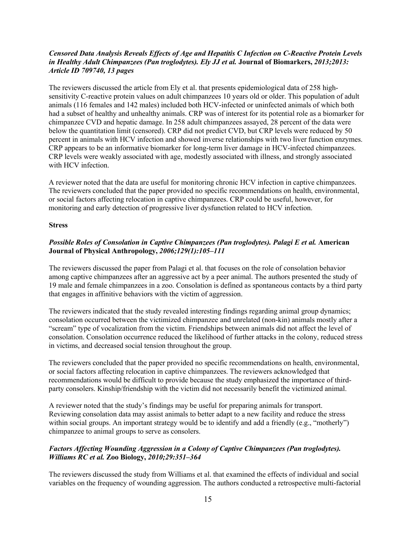### *Censored Data Analysis Reveals Effects of Age and Hepatitis C Infection on C-Reactive Protein Levels in Healthy Adult Chimpanzees (Pan troglodytes). Ely JJ et al.* **Journal of Biomarkers,** *2013;2013: Article ID 709740, 13 pages*

The reviewers discussed the article from Ely et al. that presents epidemiological data of 258 highsensitivity C-reactive protein values on adult chimpanzees 10 years old or older. This population of adult animals (116 females and 142 males) included both HCV-infected or uninfected animals of which both had a subset of healthy and unhealthy animals. CRP was of interest for its potential role as a biomarker for chimpanzee CVD and hepatic damage. In 258 adult chimpanzees assayed, 28 percent of the data were below the quantitation limit (censored). CRP did not predict CVD, but CRP levels were reduced by 50 percent in animals with HCV infection and showed inverse relationships with two liver function enzymes. CRP appears to be an informative biomarker for long-term liver damage in HCV-infected chimpanzees. CRP levels were weakly associated with age, modestly associated with illness, and strongly associated with HCV infection.

A reviewer noted that the data are useful for monitoring chronic HCV infection in captive chimpanzees. The reviewers concluded that the paper provided no specific recommendations on health, environmental, or social factors affecting relocation in captive chimpanzees. CRP could be useful, however, for monitoring and early detection of progressive liver dysfunction related to HCV infection.

#### **Stress**

## *Possible Roles of Consolation in Captive Chimpanzees (Pan troglodytes). Palagi E et al.* **American Journal of Physical Anthropology,** *2006;129(1):105–111*

The reviewers discussed the paper from Palagi et al. that focuses on the role of consolation behavior among captive chimpanzees after an aggressive act by a peer animal. The authors presented the study of 19 male and female chimpanzees in a zoo. Consolation is defined as spontaneous contacts by a third party that engages in affinitive behaviors with the victim of aggression.

The reviewers indicated that the study revealed interesting findings regarding animal group dynamics; consolation occurred between the victimized chimpanzee and unrelated (non-kin) animals mostly after a "scream" type of vocalization from the victim. Friendships between animals did not affect the level of consolation. Consolation occurrence reduced the likelihood of further attacks in the colony, reduced stress in victims, and decreased social tension throughout the group.

The reviewers concluded that the paper provided no specific recommendations on health, environmental, or social factors affecting relocation in captive chimpanzees. The reviewers acknowledged that recommendations would be difficult to provide because the study emphasized the importance of thirdparty consolers. Kinship/friendship with the victim did not necessarily benefit the victimized animal.

A reviewer noted that the study's findings may be useful for preparing animals for transport. Reviewing consolation data may assist animals to better adapt to a new facility and reduce the stress within social groups. An important strategy would be to identify and add a friendly (e.g., "motherly") chimpanzee to animal groups to serve as consolers.

### *Factors Affecting Wounding Aggression in a Colony of Captive Chimpanzees (Pan troglodytes). Williams RC et al.* **Zoo Biology,** *2010;29:351–364*

The reviewers discussed the study from Williams et al. that examined the effects of individual and social variables on the frequency of wounding aggression. The authors conducted a retrospective multi-factorial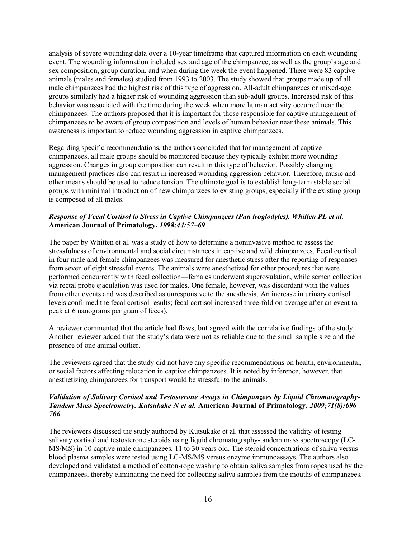analysis of severe wounding data over a 10-year timeframe that captured information on each wounding event. The wounding information included sex and age of the chimpanzee, as well as the group's age and sex composition, group duration, and when during the week the event happened. There were 83 captive animals (males and females) studied from 1993 to 2003. The study showed that groups made up of all male chimpanzees had the highest risk of this type of aggression. All-adult chimpanzees or mixed-age groups similarly had a higher risk of wounding aggression than sub-adult groups. Increased risk of this behavior was associated with the time during the week when more human activity occurred near the chimpanzees. The authors proposed that it is important for those responsible for captive management of chimpanzees to be aware of group composition and levels of human behavior near these animals. This awareness is important to reduce wounding aggression in captive chimpanzees.

Regarding specific recommendations, the authors concluded that for management of captive chimpanzees, all male groups should be monitored because they typically exhibit more wounding aggression. Changes in group composition can result in this type of behavior. Possibly changing management practices also can result in increased wounding aggression behavior. Therefore, music and other means should be used to reduce tension. The ultimate goal is to establish long-term stable social groups with minimal introduction of new chimpanzees to existing groups, especially if the existing group is composed of all males.

### *Response of Fecal Cortisol to Stress in Captive Chimpanzees (Pan troglodytes). Whitten PL et al.* **American Journal of Primatology,** *1998;44:57–69*

The paper by Whitten et al. was a study of how to determine a noninvasive method to assess the stressfulness of environmental and social circumstances in captive and wild chimpanzees. Fecal cortisol in four male and female chimpanzees was measured for anesthetic stress after the reporting of responses from seven of eight stressful events. The animals were anesthetized for other procedures that were performed concurrently with fecal collection—females underwent superovulation, while semen collection via rectal probe ejaculation was used for males. One female, however, was discordant with the values from other events and was described as unresponsive to the anesthesia. An increase in urinary cortisol levels confirmed the fecal cortisol results; fecal cortisol increased three-fold on average after an event (a peak at 6 nanograms per gram of feces).

A reviewer commented that the article had flaws, but agreed with the correlative findings of the study. Another reviewer added that the study's data were not as reliable due to the small sample size and the presence of one animal outlier.

The reviewers agreed that the study did not have any specific recommendations on health, environmental, or social factors affecting relocation in captive chimpanzees. It is noted by inference, however, that anesthetizing chimpanzees for transport would be stressful to the animals.

### *Validation of Salivary Cortisol and Testosterone Assays in Chimpanzees by Liquid Chromatography-Tandem Mass Spectrometry. Kutsukake N et al.* **American Journal of Primatology,** *2009;71(8):696– 706*

The reviewers discussed the study authored by Kutsukake et al. that assessed the validity of testing salivary cortisol and testosterone steroids using liquid chromatography-tandem mass spectroscopy (LC-MS/MS) in 10 captive male chimpanzees, 11 to 30 years old. The steroid concentrations of saliva versus blood plasma samples were tested using LC-MS/MS versus enzyme immunoassays. The authors also developed and validated a method of cotton-rope washing to obtain saliva samples from ropes used by the chimpanzees, thereby eliminating the need for collecting saliva samples from the mouths of chimpanzees.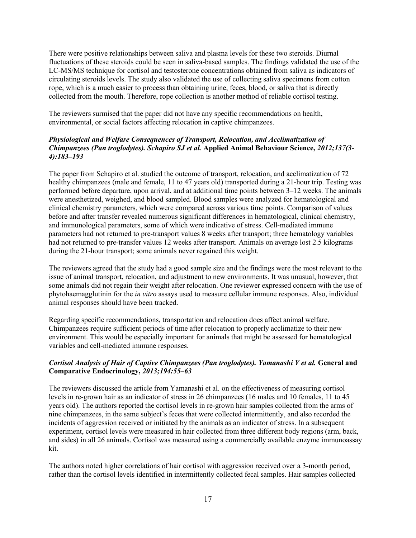There were positive relationships between saliva and plasma levels for these two steroids. Diurnal fluctuations of these steroids could be seen in saliva-based samples. The findings validated the use of the LC-MS/MS technique for cortisol and testosterone concentrations obtained from saliva as indicators of circulating steroids levels. The study also validated the use of collecting saliva specimens from cotton rope, which is a much easier to process than obtaining urine, feces, blood, or saliva that is directly collected from the mouth. Therefore, rope collection is another method of reliable cortisol testing.

The reviewers surmised that the paper did not have any specific recommendations on health, environmental, or social factors affecting relocation in captive chimpanzees.

## *Physiological and Welfare Consequences of Transport, Relocation, and Acclimatization of Chimpanzees (Pan troglodytes). Schapiro SJ et al.* **Applied Animal Behaviour Science,** *2012;137(3- 4):183–193*

The paper from Schapiro et al. studied the outcome of transport, relocation, and acclimatization of 72 healthy chimpanzees (male and female, 11 to 47 years old) transported during a 21-hour trip. Testing was performed before departure, upon arrival, and at additional time points between 3–12 weeks. The animals were anesthetized, weighed, and blood sampled. Blood samples were analyzed for hematological and clinical chemistry parameters, which were compared across various time points. Comparison of values before and after transfer revealed numerous significant differences in hematological, clinical chemistry, and immunological parameters, some of which were indicative of stress. Cell-mediated immune parameters had not returned to pre-transport values 8 weeks after transport; three hematology variables had not returned to pre-transfer values 12 weeks after transport. Animals on average lost 2.5 kilograms during the 21-hour transport; some animals never regained this weight.

The reviewers agreed that the study had a good sample size and the findings were the most relevant to the issue of animal transport, relocation, and adjustment to new environments. It was unusual, however, that some animals did not regain their weight after relocation. One reviewer expressed concern with the use of phytohaemagglutinin for the *in vitro* assays used to measure cellular immune responses. Also, individual animal responses should have been tracked.

Regarding specific recommendations, transportation and relocation does affect animal welfare. Chimpanzees require sufficient periods of time after relocation to properly acclimatize to their new environment. This would be especially important for animals that might be assessed for hematological variables and cell-mediated immune responses.

## *Cortisol Analysis of Hair of Captive Chimpanzees (Pan troglodytes). Yamanashi Y et al.* **General and Comparative Endocrinology,** *2013;194:55–63*

The reviewers discussed the article from Yamanashi et al. on the effectiveness of measuring cortisol levels in re-grown hair as an indicator of stress in 26 chimpanzees (16 males and 10 females, 11 to 45 years old). The authors reported the cortisol levels in re-grown hair samples collected from the arms of nine chimpanzees, in the same subject's feces that were collected intermittently, and also recorded the incidents of aggression received or initiated by the animals as an indicator of stress. In a subsequent experiment, cortisol levels were measured in hair collected from three different body regions (arm, back, and sides) in all 26 animals. Cortisol was measured using a commercially available enzyme immunoassay kit.

The authors noted higher correlations of hair cortisol with aggression received over a 3-month period, rather than the cortisol levels identified in intermittently collected fecal samples. Hair samples collected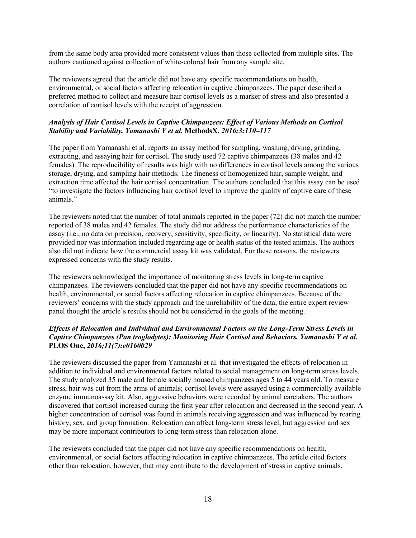from the same body area provided more consistent values than those collected from multiple sites. The authors cautioned against collection of white-colored hair from any sample site.

The reviewers agreed that the article did not have any specific recommendations on health, environmental, or social factors affecting relocation in captive chimpanzees. The paper described a preferred method to collect and measure hair cortisol levels as a marker of stress and also presented a correlation of cortisol levels with the receipt of aggression.

## *Analysis of Hair Cortisol Levels in Captive Chimpanzees: Effect of Various Methods on Cortisol Stability and Variability. Yamanashi Y et al.* **MethodsX,** *2016;3:110–117*

The paper from Yamanashi et al. reports an assay method for sampling, washing, drying, grinding, extracting, and assaying hair for cortisol. The study used 72 captive chimpanzees (38 males and 42 females). The reproducibility of results was high with no differences in cortisol levels among the various storage, drying, and sampling hair methods. The fineness of homogenized hair, sample weight, and extraction time affected the hair cortisol concentration. The authors concluded that this assay can be used "to investigate the factors influencing hair cortisol level to improve the quality of captive care of these animals."

The reviewers noted that the number of total animals reported in the paper (72) did not match the number reported of 38 males and 42 females. The study did not address the performance characteristics of the assay (i.e., no data on precision, recovery, sensitivity, specificity, or linearity). No statistical data were provided nor was information included regarding age or health status of the tested animals. The authors also did not indicate how the commercial assay kit was validated. For these reasons, the reviewers expressed concerns with the study results.

The reviewers acknowledged the importance of monitoring stress levels in long-term captive chimpanzees. The reviewers concluded that the paper did not have any specific recommendations on health, environmental, or social factors affecting relocation in captive chimpanzees. Because of the reviewers' concerns with the study approach and the unreliability of the data, the entire expert review panel thought the article's results should not be considered in the goals of the meeting.

## *Effects of Relocation and Individual and Environmental Factors on the Long-Term Stress Levels in Captive Chimpanzees (Pan troglodytes): Monitoring Hair Cortisol and Behaviors. Yamanashi Y et al.* **PLOS One,** *2016;11(7):e0160029*

The reviewers discussed the paper from Yamanashi et al. that investigated the effects of relocation in addition to individual and environmental factors related to social management on long-term stress levels. The study analyzed 35 male and female socially housed chimpanzees ages 5 to 44 years old. To measure stress, hair was cut from the arms of animals; cortisol levels were assayed using a commercially available enzyme immunoassay kit. Also, aggressive behaviors were recorded by animal caretakers. The authors discovered that cortisol increased during the first year after relocation and decreased in the second year. A higher concentration of cortisol was found in animals receiving aggression and was influenced by rearing history, sex, and group formation. Relocation can affect long-term stress level, but aggression and sex may be more important contributors to long-term stress than relocation alone.

The reviewers concluded that the paper did not have any specific recommendations on health, environmental, or social factors affecting relocation in captive chimpanzees. The article cited factors other than relocation, however, that may contribute to the development of stress in captive animals.